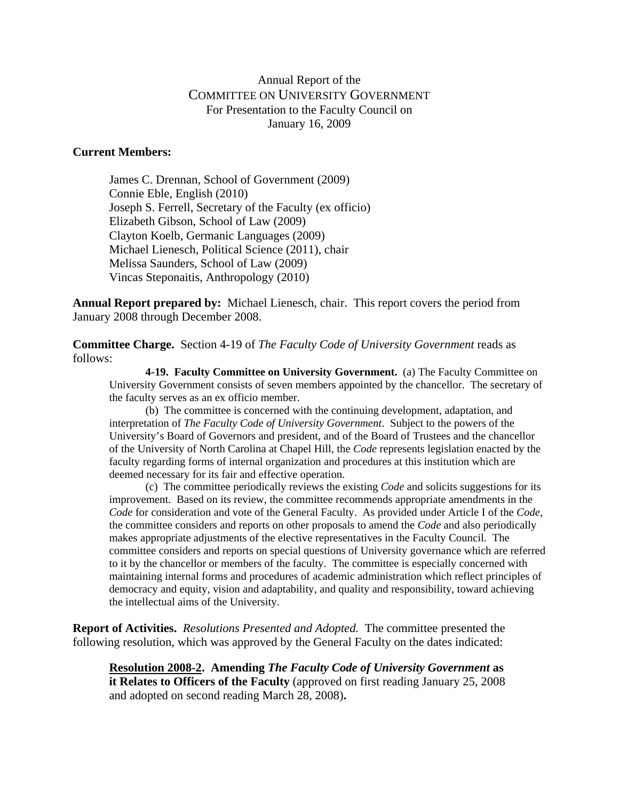## Annual Report of the COMMITTEE ON UNIVERSITY GOVERNMENT For Presentation to the Faculty Council on January 16, 2009

## **Current Members:**

James C. Drennan, School of Government (2009) Connie Eble, English (2010) Joseph S. Ferrell, Secretary of the Faculty (ex officio) Elizabeth Gibson, School of Law (2009) Clayton Koelb, Germanic Languages (2009) Michael Lienesch, Political Science (2011), chair Melissa Saunders, School of Law (2009) Vincas Steponaitis, Anthropology (2010)

**Annual Report prepared by:** Michael Lienesch, chair. This report covers the period from January 2008 through December 2008.

**Committee Charge.** Section 4-19 of *The Faculty Code of University Government* reads as follows:

**4-19. Faculty Committee on University Government.** (a) The Faculty Committee on University Government consists of seven members appointed by the chancellor. The secretary of the faculty serves as an ex officio member.

(b) The committee is concerned with the continuing development, adaptation, and interpretation of *The Faculty Code of University Government*. Subject to the powers of the University's Board of Governors and president, and of the Board of Trustees and the chancellor of the University of North Carolina at Chapel Hill, the *Code* represents legislation enacted by the faculty regarding forms of internal organization and procedures at this institution which are deemed necessary for its fair and effective operation.

 (c) The committee periodically reviews the existing *Code* and solicits suggestions for its improvement. Based on its review, the committee recommends appropriate amendments in the *Code* for consideration and vote of the General Faculty. As provided under Article I of the *Code*, the committee considers and reports on other proposals to amend the *Code* and also periodically makes appropriate adjustments of the elective representatives in the Faculty Council. The committee considers and reports on special questions of University governance which are referred to it by the chancellor or members of the faculty. The committee is especially concerned with maintaining internal forms and procedures of academic administration which reflect principles of democracy and equity, vision and adaptability, and quality and responsibility, toward achieving the intellectual aims of the University.

**Report of Activities.** *Resolutions Presented and Adopted.* The committee presented the following resolution, which was approved by the General Faculty on the dates indicated:

**Resolution 2008-2. Amending** *The Faculty Code of University Government* **as it Relates to Officers of the Faculty** (approved on first reading January 25, 2008 and adopted on second reading March 28, 2008)**.**